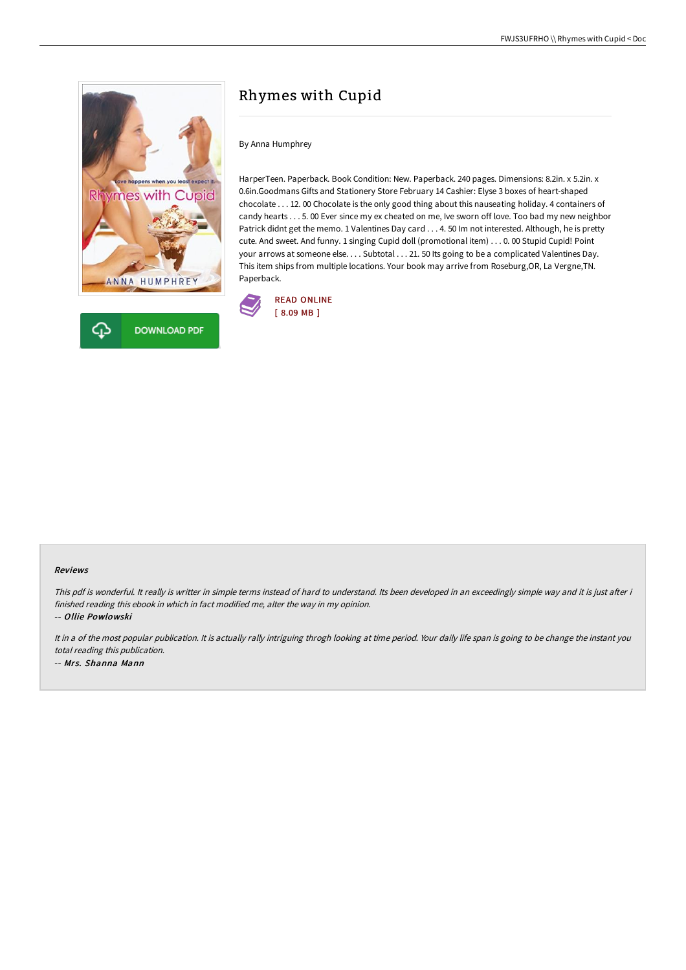

# Rhymes with Cupid

### By Anna Humphrey

HarperTeen. Paperback. Book Condition: New. Paperback. 240 pages. Dimensions: 8.2in. x 5.2in. x 0.6in.Goodmans Gifts and Stationery Store February 14 Cashier: Elyse 3 boxes of heart-shaped chocolate . . . 12. 00 Chocolate is the only good thing about this nauseating holiday. 4 containers of candy hearts . . . 5. 00 Ever since my ex cheated on me, Ive sworn off love. Too bad my new neighbor Patrick didnt get the memo. 1 Valentines Day card . . . 4. 50 Im not interested. Although, he is pretty cute. And sweet. And funny. 1 singing Cupid doll (promotional item) . . . 0. 00 Stupid Cupid! Point your arrows at someone else. . . . Subtotal . . . 21. 50 Its going to be a complicated Valentines Day. This item ships from multiple locations. Your book may arrive from Roseburg,OR, La Vergne,TN. Paperback.



#### Reviews

This pdf is wonderful. It really is writter in simple terms instead of hard to understand. Its been developed in an exceedingly simple way and it is just after i finished reading this ebook in which in fact modified me, alter the way in my opinion.

-- Ollie Powlowski

It in a of the most popular publication. It is actually rally intriguing throgh looking at time period. Your daily life span is going to be change the instant you total reading this publication. -- Mrs. Shanna Mann